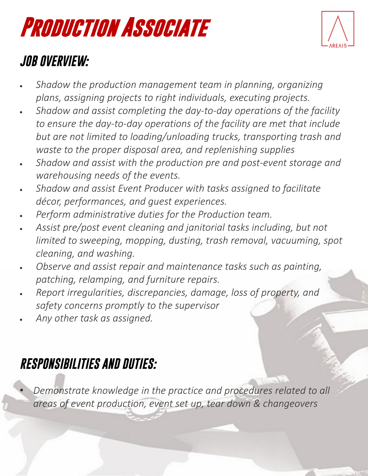

### *JOB OVERVIEW:*

- *Shadow the production management team in planning, organizing plans, assigning projects to right individuals, executing projects.*
- *Shadow and assist completing the day-to-day operations of the facility to ensure the day-to-day operations of the facility are met that include but are not limited to loading/unloading trucks, transporting trash and waste to the proper disposal area, and replenishing supplies*
- *Shadow and assist with the production pre and post-event storage and warehousing needs of the events.*
- *Shadow and assist Event Producer with tasks assigned to facilitate décor, performances, and guest experiences.*
- *Perform administrative duties for the Production team.*
- *Assist pre/post event cleaning and janitorial tasks including, but not limited to sweeping, mopping, dusting, trash removal, vacuuming, spot cleaning, and washing.*
- *Observe and assist repair and maintenance tasks such as painting, patching, relamping, and furniture repairs.*
- *Report irregularities, discrepancies, damage, loss of property, and safety concerns promptly to the supervisor*
- *Any other task as assigned.*

## *RESPONSIBILITIES AND DUTIES:*

• *Demonstrate knowledge in the practice and procedures related to all areas of event production, event set up, tear down & changeovers*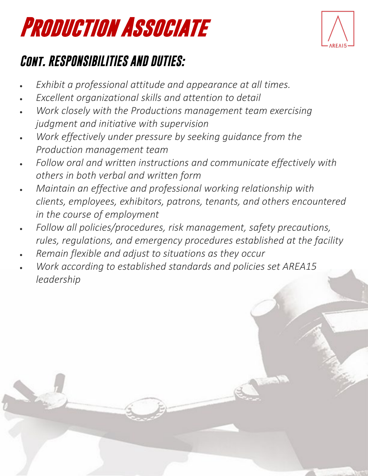

## *Cont. RESPONSIBILITIES AND DUTIES:*

- *Exhibit a professional attitude and appearance at all times.*
- *Excellent organizational skills and attention to detail*
- *Work closely with the Productions management team exercising judgment and initiative with supervision*
- *Work effectively under pressure by seeking guidance from the Production management team*
- *Follow oral and written instructions and communicate effectively with others in both verbal and written form*
- *Maintain an effective and professional working relationship with clients, employees, exhibitors, patrons, tenants, and others encountered in the course of employment*
- *Follow all policies/procedures, risk management, safety precautions, rules, regulations, and emergency procedures established at the facility*
- *Remain flexible and adjust to situations as they occur*
- *Work according to established standards and policies set AREA15 leadership*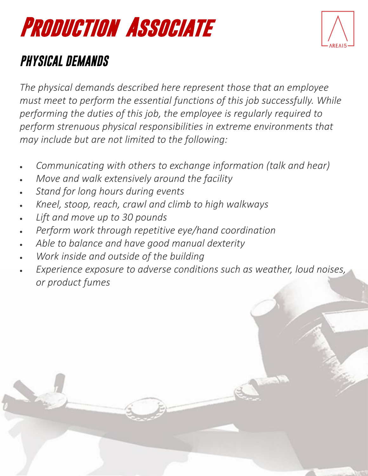### *PHYSICAL DEMANDS*

*The physical demands described here represent those that an employee must meet to perform the essential functions of this job successfully. While performing the duties of this job, the employee is regularly required to perform strenuous physical responsibilities in extreme environments that may include but are not limited to the following:*

- *Communicating with others to exchange information (talk and hear)*
- *Move and walk extensively around the facility*
- *Stand for long hours during events*
- *Kneel, stoop, reach, crawl and climb to high walkways*
- *Lift and move up to 30 pounds*
- *Perform work through repetitive eye/hand coordination*
- *Able to balance and have good manual dexterity*
- *Work inside and outside of the building*
- *Experience exposure to adverse conditions such as weather, loud noises, or product fumes*